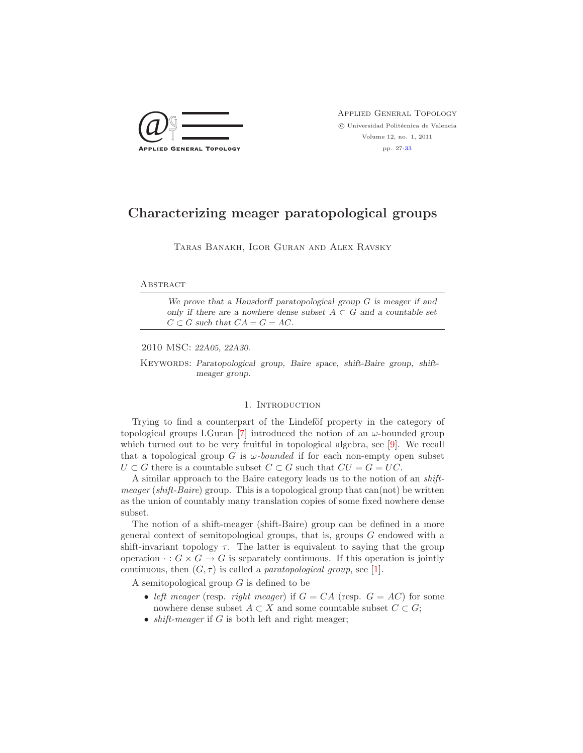

Applied General Topology  $\odot$  Universidad Politécnica de Valencia Volume 12, no. 1, 2011 pp. 27[-33](#page-6-0)

# Characterizing meager paratopological groups

Taras Banakh, Igor Guran and Alex Ravsky

# **ABSTRACT**

We prove that a Hausdorff paratopological group  $G$  is meager if and only if there are a nowhere dense subset  $A \subset G$  and a countable set  $C \subset G$  such that  $CA = G = AC$ .

2010 MSC: 22A05, 22A30.

KEYWORDS: Paratopological group, Baire space, shift-Baire group, shiftmeager group.

## 1. Introduction

Trying to find a counterpart of the Lindeföf property in the category of topological groups I.Guran [\[7\]](#page-6-1) introduced the notion of an  $\omega$ -bounded group which turned out to be very fruitful in topological algebra, see [\[9\]](#page-6-2). We recall that a topological group G is  $\omega$ -bounded if for each non-empty open subset  $U \subset G$  there is a countable subset  $C \subset G$  such that  $CU = G = UC$ .

A similar approach to the Baire category leads us to the notion of an shift $m \neq m \neq m$  (shift-Baire) group. This is a topological group that can(not) be written as the union of countably many translation copies of some fixed nowhere dense subset.

The notion of a shift-meager (shift-Baire) group can be defined in a more general context of semitopological groups, that is, groups G endowed with a shift-invariant topology  $\tau$ . The latter is equivalent to saying that the group operation  $\cdot : G \times G \to G$  is separately continuous. If this operation is jointly continuous, then  $(G, \tau)$  is called a *paratopological group*, see [\[1\]](#page-6-3).

A semitopological group  $G$  is defined to be

- left meager (resp. right meager) if  $G = CA$  (resp.  $G = AC$ ) for some nowhere dense subset  $A \subset X$  and some countable subset  $C \subset G$ ;
- shift-meager if  $G$  is both left and right meager;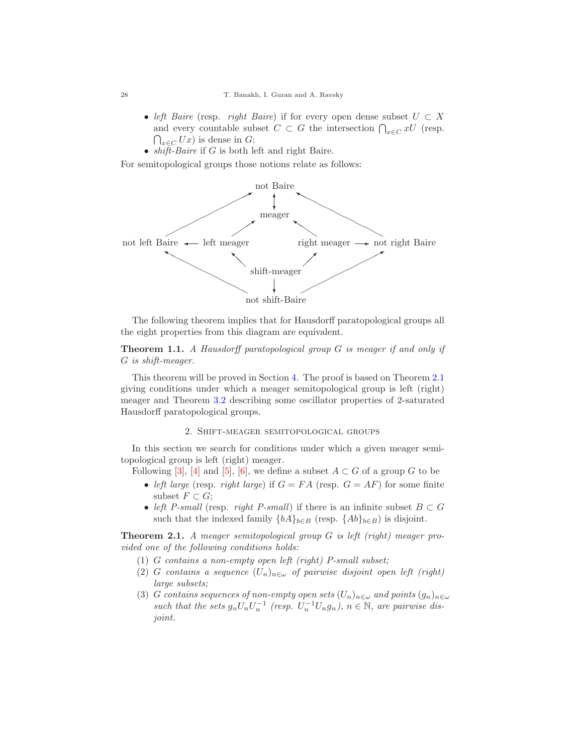- left Baire (resp. right Baire) if for every open dense subset  $U \subset X$ and every countable subset  $C \subset G$  the intersection  $\bigcap_{x \in C} xU$  (resp.  $\bigcap_{x \in C} Ux$  is dense in G;
- $shift\text{-}Baire$  if G is both left and right Baire.

For semitopological groups those notions relate as follows:



<span id="page-1-1"></span>The following theorem implies that for Hausdorff paratopological groups all the eight properties from this diagram are equivalent.

Theorem 1.1. A Hausdorff paratopological group G is meager if and only if G is shift-meager.

This theorem will be proved in Section [4.](#page-5-0) The proof is based on Theorem [2.1](#page-1-0) giving conditions under which a meager semitopological group is left (right) meager and Theorem [3.2](#page-4-0) describing some oscillator properties of 2-saturated Hausdorff paratopological groups.

## 2. Shift-meager semitopological groups

In this section we search for conditions under which a given meager semitopological group is left (right) meager.

Following [\[3\]](#page-6-4), [\[4\]](#page-6-5) and [\[5\]](#page-6-6), [\[6\]](#page-6-7), we define a subset  $A \subset G$  of a group G to be

- left large (resp. right large) if  $G = FA$  (resp.  $G = AF$ ) for some finite subset  $F \subset G$ ;
- left P-small (resp. right P-small) if there is an infinite subset  $B \subset G$ such that the indexed family  $\{bA\}_{b\in B}$  (resp.  $\{Ab\}_{b\in B}$ ) is disjoint.

<span id="page-1-0"></span>Theorem 2.1. A meager semitopological group G is left (right) meager provided one of the following conditions holds:

- (1) G contains a non-empty open left (right) P-small subset;
- (2) G contains a sequence  $(U_n)_{n\in\omega}$  of pairwise disjoint open left (right) large subsets;
- (3) G contains sequences of non-empty open sets  $(U_n)_{n\in\omega}$  and points  $(g_n)_{n\in\omega}$ such that the sets  $g_n U_n U_n^{-1}$  (resp.  $U_n^{-1} U_n g_n$ ),  $n \in \mathbb{N}$ , are pairwise disjoint.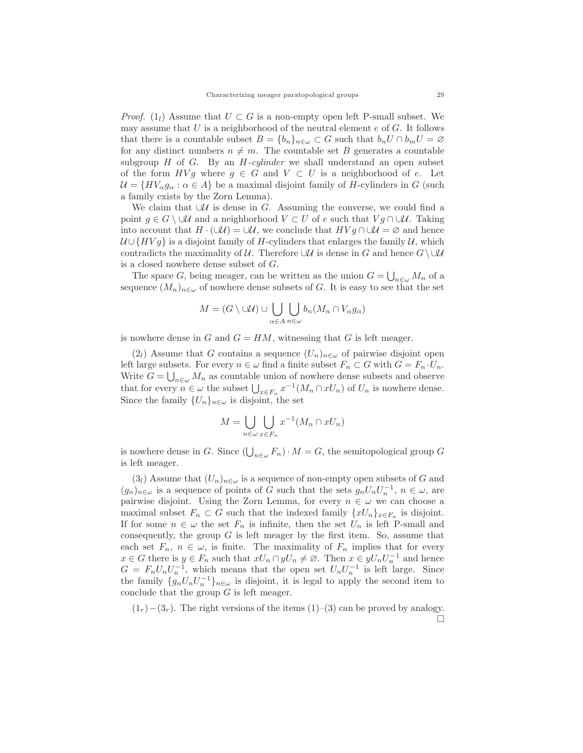*Proof.* (1<sub>l</sub>) Assume that  $U \subset G$  is a non-empty open left P-small subset. We may assume that  $U$  is a neighborhood of the neutral element  $e$  of  $G$ . It follows that there is a countable subset  $B = \{b_n\}_{n \in \omega} \subset G$  such that  $b_n U \cap b_m U = \varnothing$ for any distinct numbers  $n \neq m$ . The countable set B generates a countable subgroup  $H$  of  $G$ . By an  $H$ -cylinder we shall understand an open subset of the form  $HVg$  where  $g \in G$  and  $V \subset U$  is a neighborhood of e. Let  $\mathcal{U} = \{HV_{\alpha}g_{\alpha} : \alpha \in A\}$  be a maximal disjoint family of H-cylinders in G (such a family exists by the Zorn Lemma).

We claim that  $∪\mathcal{U}$  is dense in G. Assuming the converse, we could find a point  $g \in G \setminus \cup \mathcal{U}$  and a neighborhood  $V \subset U$  of e such that  $V g \cap \cup \mathcal{U}$ . Taking into account that  $H \cdot (\cup \mathcal{U}) = \cup \mathcal{U}$ , we conclude that  $H V g \cap \cup \mathcal{U} = \emptyset$  and hence  $U \cup \{HVg\}$  is a disjoint family of H-cylinders that enlarges the family U, which contradicts the maximality of U. Therefore  $\cup \mathcal{U}$  is dense in G and hence  $G \setminus \cup \mathcal{U}$ is a closed nowhere dense subset of G.

The space G, being meager, can be written as the union  $G = \bigcup_{n \in \omega} M_n$  of a sequence  $(M_n)_{n\in\omega}$  of nowhere dense subsets of G. It is easy to see that the set

$$
M = (G \setminus \cup \mathcal{U}) \cup \bigcup_{\alpha \in A} \bigcup_{n \in \omega} b_n(M_n \cap V_\alpha g_\alpha)
$$

is nowhere dense in  $G$  and  $G = HM$ , witnessing that G is left meager.

 $(2_l)$  Assume that G contains a sequence  $(U_n)_{n\in\omega}$  of pairwise disjoint open left large subsets. For every  $n \in \omega$  find a finite subset  $F_n \subset G$  with  $G = F_n \cdot U_n$ . Write  $G = \bigcup_{n \in \omega} M_n$  as countable union of nowhere dense subsets and observe that for every  $n \in \omega$  the subset  $\bigcup_{x \in F_n} x^{-1}(M_n \cap xU_n)$  of  $U_n$  is nowhere dense. Since the family  $\{U_n\}_{n\in\omega}$  is disjoint, the set

$$
M = \bigcup_{n \in \omega} \bigcup_{x \in F_n} x^{-1}(M_n \cap xU_n)
$$

is nowhere dense in G. Since  $\left(\bigcup_{n\in\omega}F_n\right)\cdot M=G$ , the semitopological group G is left meager.

 $(3_l)$  Assume that  $(U_n)_{n\in\omega}$  is a sequence of non-empty open subsets of G and  $(g_n)_{n\in\omega}$  is a sequence of points of G such that the sets  $g_nU_nU_n^{-1}$ ,  $n\in\omega$ , are pairwise disjoint. Using the Zorn Lemma, for every  $n \in \omega$  we can choose a maximal subset  $F_n \subset G$  such that the indexed family  $\{xU_n\}_{x \in F_n}$  is disjoint. If for some  $n \in \omega$  the set  $F_n$  is infinite, then the set  $U_n$  is left P-small and consequently, the group  $G$  is left meager by the first item. So, assume that each set  $F_n$ ,  $n \in \omega$ , is finite. The maximality of  $F_n$  implies that for every  $x \in G$  there is  $y \in F_n$  such that  $xU_n \cap yU_n \neq \emptyset$ . Then  $x \in yU_nU_n^{-1}$  and hence  $G = F_n U_n U_n^{-1}$ , which means that the open set  $U_n U_n^{-1}$  is left large. Since the family  $\{g_n U_n U_n^{-1}\}_{n\in\omega}$  is disjoint, it is legal to apply the second item to conclude that the group  $G$  is left meager.

 $(1<sub>r</sub>)- (3<sub>r</sub>)$ . The right versions of the items  $(1)–(3)$  can be proved by analogy.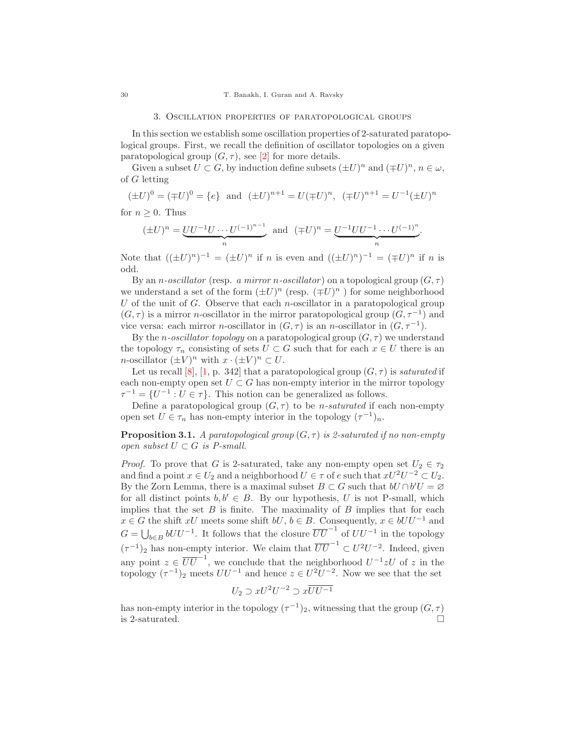#### 3. Oscillation properties of paratopological groups

In this section we establish some oscillation properties of 2-saturated paratopological groups. First, we recall the definition of oscillator topologies on a given paratopological group  $(G, \tau)$ , see [\[2\]](#page-6-8) for more details.

Given a subset  $U \subset G$ , by induction define subsets  $(\pm U)^n$  and  $(\mp U)^n$ ,  $n \in \omega$ , of G letting

$$
(\pm U)^0 = (\mp U)^0 = \{e\} \text{ and } (\pm U)^{n+1} = U(\mp U)^n, (\mp U)^{n+1} = U^{-1}(\pm U)^n
$$

for  $n \geq 0$ . Thus

$$
(\pm U)^n = \underbrace{UU^{-1}U \cdots U^{(-1)^{n-1}}}_{n} \text{ and } (\mp U)^n = \underbrace{U^{-1}UU^{-1} \cdots U^{(-1)^n}}_{n}.
$$

Note that  $((\pm U)^n)^{-1} = (\pm U)^n$  if n is even and  $((\pm U)^n)^{-1} = (\mp U)^n$  if n is odd.

By an *n*-oscillator (resp. a mirror *n*-oscillator) on a topological group  $(G, \tau)$ we understand a set of the form  $(\pm U)^n$  (resp.  $(\mp U)^n$ ) for some neighborhood U of the unit of G. Observe that each n-oscillator in a paratopological group  $(G, \tau)$  is a mirror *n*-oscillator in the mirror paratopological group  $(G, \tau^{-1})$  and vice versa: each mirror *n*-oscillator in  $(G, \tau)$  is an *n*-oscillator in  $(G, \tau^{-1})$ .

By the *n*-oscillator topology on a paratopological group  $(G, \tau)$  we understand the topology  $\tau_n$  consisting of sets  $U \subset G$  such that for each  $x \in U$  there is an *n*-oscillator  $(\pm V)^n$  with  $x \cdot (\pm V)^n \subset U$ .

Let us recall [\[8\]](#page-6-9), [\[1,](#page-6-3) p. 342] that a paratopological group  $(G, \tau)$  is saturated if each non-empty open set  $U \subset G$  has non-empty interior in the mirror topology  $\tau^{-1} = \{U^{-1} : U \in \tau\}.$  This notion can be generalized as follows.

Define a paratopological group  $(G, \tau)$  to be *n-saturated* if each non-empty open set  $U \in \tau_n$  has non-empty interior in the topology  $(\tau^{-1})_n$ .

<span id="page-3-0"></span>**Proposition 3.1.** A paratopological group  $(G, \tau)$  is 2-saturated if no non-empty open subset  $U \subset G$  is P-small.

*Proof.* To prove that G is 2-saturated, take any non-empty open set  $U_2 \in \tau_2$ and find a point  $x \in U_2$  and a neighborhood  $U \in \tau$  of e such that  $xU^2U^{-2} \subset U_2$ . By the Zorn Lemma, there is a maximal subset  $B \subset G$  such that  $bU \cap b'U = \emptyset$ for all distinct points  $b, b' \in B$ . By our hypothesis, U is not P-small, which implies that the set  $B$  is finite. The maximality of  $B$  implies that for each  $x \in G$  the shift  $xU$  meets some shift  $bU, b \in B$ . Consequently,  $x \in bUU^{-1}$  and  $G = \bigcup_{b \in B} bUU^{-1}$ . It follows that the closure  $\overline{UU}^{-1}$  of  $UU^{-1}$  in the topology  $(\tau^{-1})_2$  has non-empty interior. We claim that  $\overline{UU}^{-1} \subset U^2U^{-2}$ . Indeed, given any point  $z \in \overline{UU}^{-1}$ , we conclude that the neighborhood  $U^{-1}zU$  of z in the topology  $(\tau^{-1})_2$  meets  $UU^{-1}$  and hence  $z \in U^2U^{-2}$ . Now we see that the set

$$
U_2 \supset xU^2U^{-2} \supset x\overline{UU^{-1}}
$$

has non-empty interior in the topology  $(\tau^{-1})_2$ , witnessing that the group  $(G, \tau)$ is 2-saturated.  $\Box$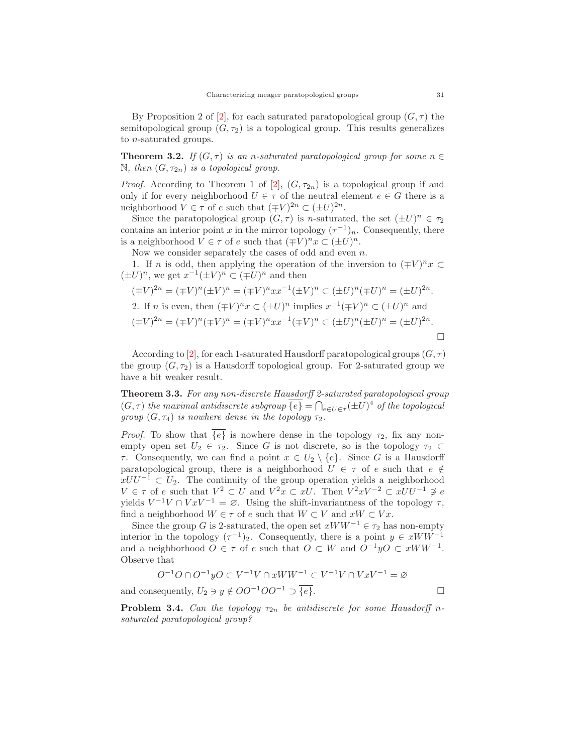By Proposition 2 of [\[2\]](#page-6-8), for each saturated paratopological group  $(G, \tau)$  the semitopological group  $(G, \tau_2)$  is a topological group. This results generalizes to n-saturated groups.

<span id="page-4-0"></span>**Theorem 3.2.** If  $(G, \tau)$  is an n-saturated paratopological group for some  $n \in$ N, then  $(G, \tau_{2n})$  is a topological group.

*Proof.* According to Theorem 1 of [\[2\]](#page-6-8),  $(G, \tau_{2n})$  is a topological group if and only if for every neighborhood  $U \in \tau$  of the neutral element  $e \in G$  there is a neighborhood  $V \in \tau$  of e such that  $(\mp V)^{2n} \subset (\pm U)^{2n}$ .

Since the paratopological group  $(G, \tau)$  is n-saturated, the set  $(\pm U)^n \in \tau_2$ contains an interior point x in the mirror topology  $(\tau^{-1})_n$ . Consequently, there is a neighborhood  $V \in \tau$  of e such that  $(\mp V)^n x \subset (\pm U)^n$ .

Now we consider separately the cases of odd and even n.

1. If *n* is odd, then applying the operation of the inversion to  $( \mp V)^n x \subset$  $(\pm U)^n$ , we get  $x^{-1}(\pm V)^n \subset (\mp U)^n$  and then

$$
(\mp V)^{2n} = (\mp V)^n (\pm V)^n = (\mp V)^n x x^{-1} (\pm V)^n \subset (\pm U)^n (\mp U)^n = (\pm U)^{2n}.
$$
  
2. If *n* is even, then  $(\mp V)^n x \subset (\pm U)^n$  implies  $x^{-1} (\mp V)^n \subset (\pm U)^n$  and  

$$
(\mp V)^{2n} = (\mp V)^n (\mp V)^n = (\mp V)^n x x^{-1} (\mp V)^n \subset (\pm U)^n (\pm U)^n = (\pm U)^{2n}.
$$

According to [\[2\]](#page-6-8), for each 1-saturated Hausdorff paratopological groups  $(G, \tau)$ the group  $(G, \tau_2)$  is a Hausdorff topological group. For 2-saturated group we have a bit weaker result.

<span id="page-4-1"></span>Theorem 3.3. For any non-discrete Hausdorff 2-saturated paratopological group  $(G, \tau)$  the maximal antidiscrete subgroup  $\overline{\{e\}} = \bigcap_{e \in U \in \tau} (\pm U)^4$  of the topological group  $(G, \tau_4)$  is nowhere dense in the topology  $\tau_2$ .

*Proof.* To show that  $\{e\}$  is nowhere dense in the topology  $\tau_2$ , fix any nonempty open set  $U_2 \in \tau_2$ . Since G is not discrete, so is the topology  $\tau_2 \subset$ τ. Consequently, we can find a point x ∈ U<sup>2</sup> \ {e}. Since G is a Hausdorff paratopological group, there is a neighborhood  $U \in \tau$  of e such that  $e \notin$  $xUU^{-1} \subset U_2$ . The continuity of the group operation yields a neighborhood  $V \in \tau$  of e such that  $V^2 \subset U$  and  $V^2x \subset xU$ . Then  $V^2xV^{-2} \subset xUU^{-1} \not\supseteq e$ yields  $V^{-1}V \cap VxV^{-1} = \emptyset$ . Using the shift-invariantness of the topology  $\tau$ , find a neighborhood  $W \in \tau$  of e such that  $W \subset V$  and  $xW \subset Vx$ .

Since the group G is 2-saturated, the open set  $xWW^{-1} \in \tau_2$  has non-empty interior in the topology  $(\tau^{-1})_2$ . Consequently, there is a point  $y \in xWW^{-1}$ and a neighborhood  $O \in \tau$  of e such that  $O \subset W$  and  $O^{-1}yO \subset xWW^{-1}$ . Observe that

$$
O^{-1}O \cap O^{-1}yO \subset V^{-1}V \cap xWW^{-1} \subset V^{-1}V \cap VxV^{-1} = \varnothing
$$
  
and consequently,  $U_2 \ni y \notin OO^{-1}OO^{-1} \supset \overline{\{e\}}.$ 

**Problem 3.4.** Can the topology  $\tau_{2n}$  be antidiscrete for some Hausdorff nsaturated paratopological group?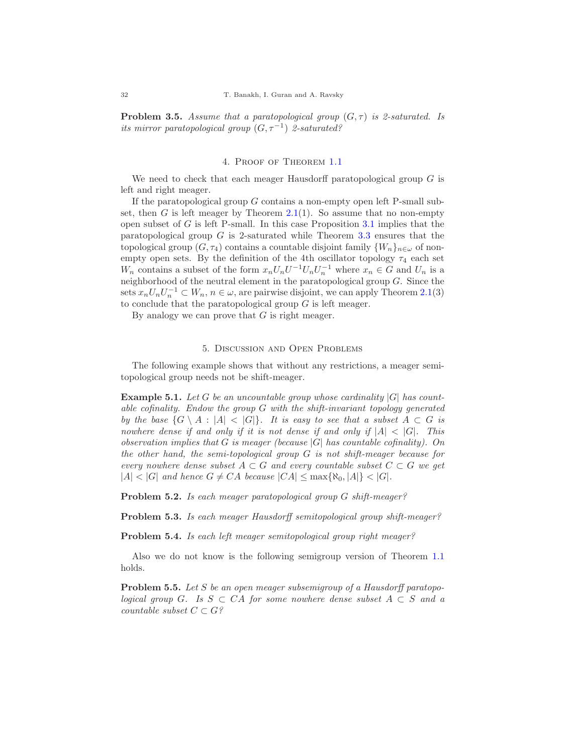**Problem 3.5.** Assume that a paratopological group  $(G, \tau)$  is 2-saturated. Is its mirror paratopological group  $(G, \tau^{-1})$  2-saturated?

## 4. Proof of Theorem [1.1](#page-1-1)

<span id="page-5-0"></span>We need to check that each meager Hausdorff paratopological group  $G$  is left and right meager.

If the paratopological group  $G$  contains a non-empty open left P-small sub-set, then G is left meager by Theorem [2.1\(](#page-1-0)1). So assume that no non-empty open subset of  $G$  is left P-small. In this case Proposition  $3.1$  implies that the paratopological group  $G$  is 2-saturated while Theorem [3.3](#page-4-1) ensures that the topological group  $(G, \tau_4)$  contains a countable disjoint family  $\{W_n\}_{n\in\omega}$  of nonempty open sets. By the definition of the 4th oscillator topology  $\tau_4$  each set  $W_n$  contains a subset of the form  $x_n U_n U^{-1} U_n U_n^{-1}$  where  $x_n \in G$  and  $U_n$  is a neighborhood of the neutral element in the paratopological group G. Since the sets  $x_n U_n U_n^{-1} \subset W_n$ ,  $n \in \omega$ , are pairwise disjoint, we can apply Theorem [2.1\(](#page-1-0)3) to conclude that the paratopological group  $G$  is left meager.

By analogy we can prove that  $G$  is right meager.

## 5. Discussion and Open Problems

The following example shows that without any restrictions, a meager semitopological group needs not be shift-meager.

**Example 5.1.** Let G be an uncountable group whose cardinality  $|G|$  has countable cofinality. Endow the group G with the shift-invariant topology generated by the base  $\{G \setminus A : |A| < |G|\}$ . It is easy to see that a subset  $A \subset G$  is nowhere dense if and only if it is not dense if and only if  $|A| < |G|$ . This observation implies that G is meager (because  $|G|$  has countable cofinality). On the other hand, the semi-topological group G is not shift-meager because for every nowhere dense subset  $A \subset G$  and every countable subset  $C \subset G$  we get  $|A| < |G|$  and hence  $G \neq CA$  because  $|CA| < \max\{R_0, |A|\} < |G|$ .

Problem 5.2. Is each meager paratopological group G shift-meager?

Problem 5.3. Is each meager Hausdorff semitopological group shift-meager?

Problem 5.4. Is each left meager semitopological group right meager?

Also we do not know is the following semigroup version of Theorem [1.1](#page-1-1) holds.

Problem 5.5. Let S be an open meager subsemigroup of a Hausdorff paratopological group G. Is  $S \subset CA$  for some nowhere dense subset  $A \subset S$  and a countable subset  $C \subset G$ ?